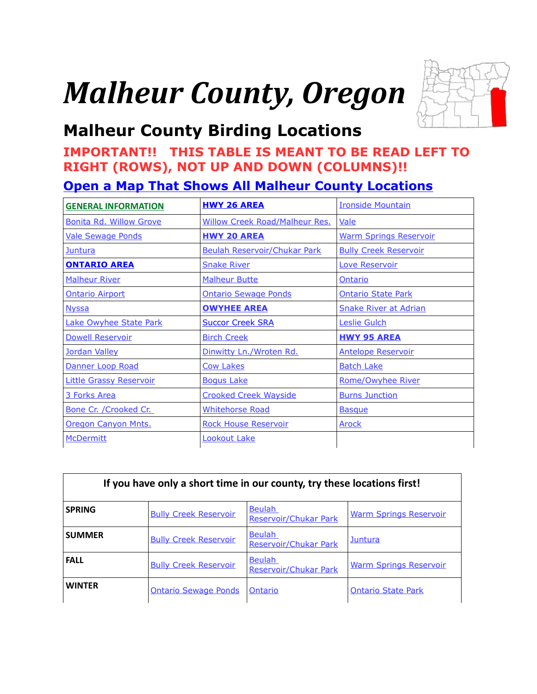# *Malheur County, Oregon*



# <span id="page-0-0"></span>**Malheur County Birding Locations**

### **IMPORTANT!! THIS TABLE IS MEANT TO BE READ LEFT TO RIGHT (ROWS), NOT UP AND DOWN (COLUMNS)!!**

### **[Open a Map That Shows All Malheur County Locations](https://www.google.com/maps/d/edit?mid=zVl1oTDALjf4.k8Ugsx19aANU&usp=sharing)**

| <b>GENERAL INFORMATION</b>     | <b>HWY 26 AREA</b>                                                  | <b>Ironside Mountain</b>     |  |
|--------------------------------|---------------------------------------------------------------------|------------------------------|--|
| <b>Bonita Rd. Willow Grove</b> | <b>Willow Creek Road/Malheur Res.</b>                               | Vale                         |  |
| <b>Vale Sewage Ponds</b>       | <b>HWY 20 AREA</b><br><b>Warm Springs Reservoir</b>                 |                              |  |
| Juntura                        | <b>Beulah Reservoir/Chukar Park</b><br><b>Bully Creek Reservoir</b> |                              |  |
| <b>ONTARIO AREA</b>            | <b>Snake River</b>                                                  | Love Reservoir               |  |
| <b>Malheur River</b>           | <b>Malheur Butte</b><br>Ontario                                     |                              |  |
| <b>Ontario Airport</b>         | <b>Ontario Sewage Ponds</b>                                         | <b>Ontario State Park</b>    |  |
| <b>Nyssa</b>                   | <b>OWYHEE AREA</b>                                                  | <b>Snake River at Adrian</b> |  |
| <b>Lake Owyhee State Park</b>  | <b>Succor Creek SRA</b>                                             | Leslie Gulch                 |  |
| <b>Dowell Reservoir</b>        | <b>Birch Creek</b>                                                  | <b>HWY 95 AREA</b>           |  |
| Jordan Valley                  | Dinwitty Ln./Wroten Rd.                                             | <b>Antelope Reservoir</b>    |  |
| Danner Loop Road               | <b>Cow Lakes</b>                                                    | <b>Batch Lake</b>            |  |
| <b>Little Grassy Reservoir</b> | <b>Bogus Lake</b>                                                   | Rome/Owyhee River            |  |
| 3 Forks Area                   | <b>Crooked Creek Wayside</b>                                        | <b>Burns Junction</b>        |  |
| Bone Cr. / Crooked Cr.         | <b>Whitehorse Road</b>                                              | <b>Basque</b>                |  |
| Oregon Canyon Mnts.            | <b>Rock House Reservoir</b>                                         | <b>Arock</b>                 |  |
| <b>McDermitt</b>               | Lookout Lake                                                        |                              |  |

| If you have only a short time in our county, try these locations first! |                              |                                        |                               |  |
|-------------------------------------------------------------------------|------------------------------|----------------------------------------|-------------------------------|--|
| <b>SPRING</b>                                                           | <b>Bully Creek Reservoir</b> | <b>Beulah</b><br>Reservoir/Chukar Park | <b>Warm Springs Reservoir</b> |  |
| <b>SUMMER</b>                                                           | <b>Bully Creek Reservoir</b> | <b>Beulah</b><br>Reservoir/Chukar Park | <b>Juntura</b>                |  |
| <b>FALL</b>                                                             | <b>Bully Creek Reservoir</b> | <b>Beulah</b><br>Reservoir/Chukar Park | <b>Warm Springs Reservoir</b> |  |
| <b>WINTER</b>                                                           | <b>Ontario Sewage Ponds</b>  | Ontario                                | <b>Ontario State Park</b>     |  |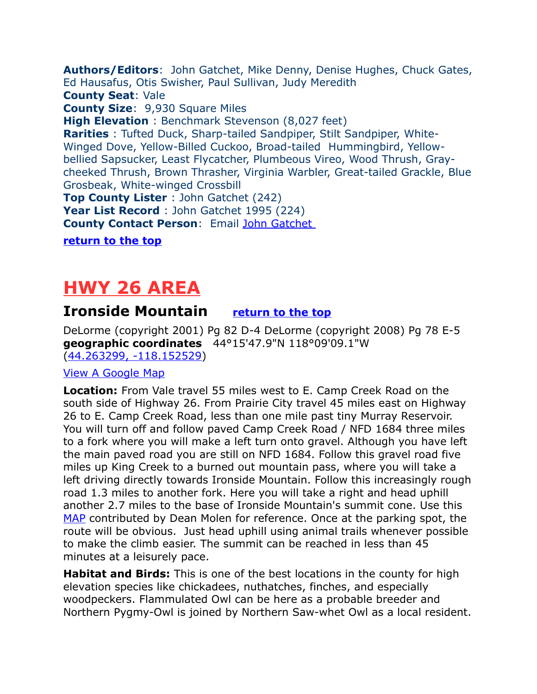<span id="page-1-2"></span>**Authors/Editors**: John Gatchet, Mike Denny, Denise Hughes, Chuck Gates, Ed Hausafus, Otis Swisher, Paul Sullivan, Judy Meredith **County Seat**: Vale **County Size**: 9,930 Square Miles **High Elevation** : Benchmark Stevenson (8,027 feet) **Rarities** : Tufted Duck, Sharp-tailed Sandpiper, Stilt Sandpiper, White-Winged Dove, Yellow-Billed Cuckoo, Broad-tailed Hummingbird, Yellowbellied Sapsucker, Least Flycatcher, Plumbeous Vireo, Wood Thrush, Graycheeked Thrush, Brown Thrasher, Virginia Warbler, Great-tailed Grackle, Blue Grosbeak, White-winged Crossbill **Top County Lister** : John Gatchet (242) **Year List Record** : John Gatchet 1995 (224) **County Contact Person**: Email [John Gatchet](mailto:jfgatchet@gmail.com)

**[return to the top](#page-0-0)**

# <span id="page-1-1"></span>**HWY 26 AREA**

### <span id="page-1-0"></span>**Ironside Mountain [return to the top](#page-0-0)**

DeLorme (copyright 2001) Pg 82 D-4 DeLorme (copyright 2008) Pg 78 E-5 **geographic coordinates** 44°15'47.9"N 118°09'09.1"W [\(44.263299, -118.152529\)](https://www.google.com/maps/place/44%C2%B015)

#### [View A Google Map](http://maps.google.com/maps/ms?hl=en&ie=UTF8&msa=0&msid=108036481085398338899.0004704820d1ce116ee73&z=10)

**Location:** From Vale travel 55 miles west to E. Camp Creek Road on the south side of Highway 26. From Prairie City travel 45 miles east on Highway 26 to E. Camp Creek Road, less than one mile past tiny Murray Reservoir. You will turn off and follow paved Camp Creek Road / NFD 1684 three miles to a fork where you will make a left turn onto gravel. Although you have left the main paved road you are still on NFD 1684. Follow this gravel road five miles up King Creek to a burned out mountain pass, where you will take a left driving directly towards Ironside Mountain. Follow this increasingly rough road 1.3 miles to another fork. Here you will take a right and head uphill another 2.7 miles to the base of Ironside Mountain's summit cone. Use this [MAP](http://www.summitpost.org/view_object.php?object_id=224045) contributed by Dean Molen for reference. Once at the parking spot, the route will be obvious. Just head uphill using animal trails whenever possible to make the climb easier. The summit can be reached in less than 45 minutes at a leisurely pace.

**Habitat and Birds:** This is one of the best locations in the county for high elevation species like chickadees, nuthatches, finches, and especially woodpeckers. Flammulated Owl can be here as a probable breeder and Northern Pygmy-Owl is joined by Northern Saw-whet Owl as a local resident.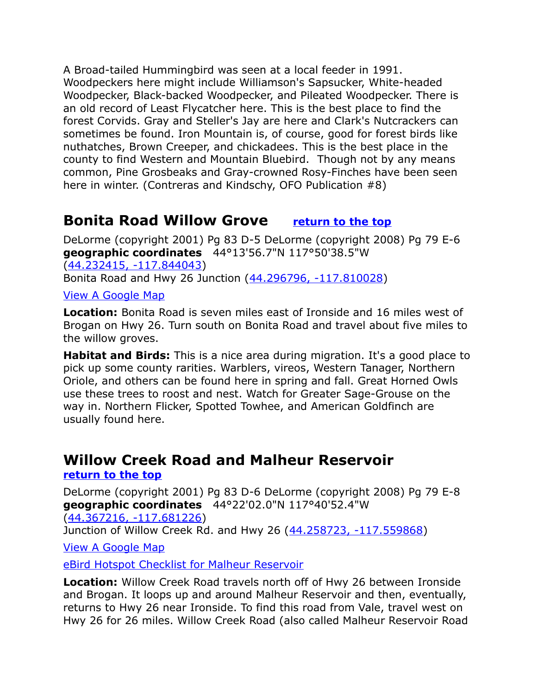A Broad-tailed Hummingbird was seen at a local feeder in 1991. Woodpeckers here might include Williamson's Sapsucker, White-headed Woodpecker, Black-backed Woodpecker, and Pileated Woodpecker. There is an old record of Least Flycatcher here. This is the best place to find the forest Corvids. Gray and Steller's Jay are here and Clark's Nutcrackers can sometimes be found. Iron Mountain is, of course, good for forest birds like nuthatches, Brown Creeper, and chickadees. This is the best place in the county to find Western and Mountain Bluebird. Though not by any means common, Pine Grosbeaks and Gray-crowned Rosy-Finches have been seen here in winter. (Contreras and Kindschy, OFO Publication #8)

### <span id="page-2-1"></span>**Bonita Road Willow Grove [return to the top](#page-0-0)**

DeLorme (copyright 2001) Pg 83 D-5 DeLorme (copyright 2008) Pg 79 E-6 **geographic coordinates** 44°13'56.7"N 117°50'38.5"W [\(44.232415, -117.844043\)](https://www.google.com/maps/place/44%C2%B013) Bonita Road and Hwy 26 Junction [\(44.296796, -117.810028\)](https://www.google.com/maps/place/44%C2%B017)

[View A Google Map](http://maps.google.com/maps/ms?hl=en&ie=UTF8&msa=0&msid=108036481085398338899.0004704820d1ce116ee73&z=10)

**Location:** Bonita Road is seven miles east of Ironside and 16 miles west of Brogan on Hwy 26. Turn south on Bonita Road and travel about five miles to the willow groves.

**Habitat and Birds:** This is a nice area during migration. It's a good place to pick up some county rarities. Warblers, vireos, Western Tanager, Northern Oriole, and others can be found here in spring and fall. Great Horned Owls use these trees to roost and nest. Watch for Greater Sage-Grouse on the way in. Northern Flicker, Spotted Towhee, and American Goldfinch are usually found here.

### <span id="page-2-0"></span>**Willow Creek Road and Malheur Reservoir [return to the top](#page-0-0)**

DeLorme (copyright 2001) Pg 83 D-6 DeLorme (copyright 2008) Pg 79 E-8 **geographic coordinates** 44°22'02.0"N 117°40'52.4"W [\(44.367216, -117.681226\)](https://www.google.com/maps/place/44%C2%B022)

Junction of Willow Creek Rd. and Hwy 26 [\(44.258723, -117.559868\)](https://www.google.com/maps/place/44%C2%B015)

[View A Google Map](http://maps.google.com/maps/ms?hl=en&ie=UTF8&msa=0&msid=108036481085398338899.0004741cd94fbb71418ab&ll=44.268805,-117.390976&spn=0.21118,0.527&z=10)

[eBird Hotspot Checklist for Malheur Reservoir](http://ebird.org/ebird/hotspot/L854149?yr=all&m=&rank=mrec)

**Location:** Willow Creek Road travels north off of Hwy 26 between Ironside and Brogan. It loops up and around Malheur Reservoir and then, eventually, returns to Hwy 26 near Ironside. To find this road from Vale, travel west on Hwy 26 for 26 miles. Willow Creek Road (also called Malheur Reservoir Road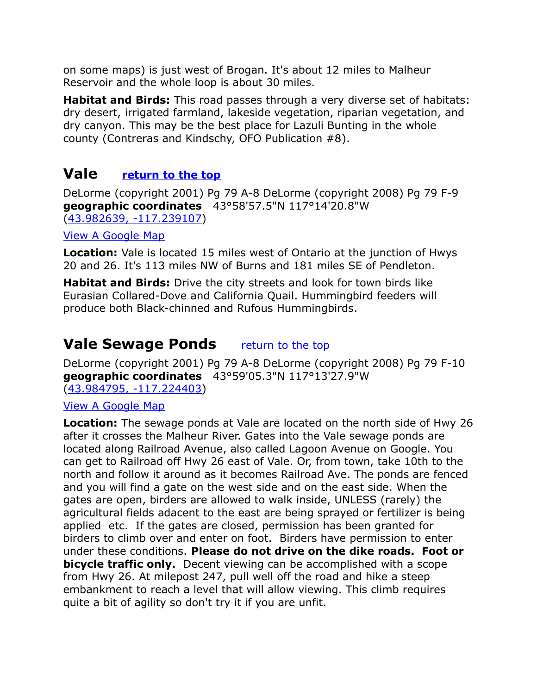on some maps) is just west of Brogan. It's about 12 miles to Malheur Reservoir and the whole loop is about 30 miles.

**Habitat and Birds:** This road passes through a very diverse set of habitats: dry desert, irrigated farmland, lakeside vegetation, riparian vegetation, and dry canyon. This may be the best place for Lazuli Bunting in the whole county (Contreras and Kindschy, OFO Publication #8).

### <span id="page-3-1"></span>**Vale [return to the top](#page-0-0)**

DeLorme (copyright 2001) Pg 79 A-8 DeLorme (copyright 2008) Pg 79 F-9 **geographic coordinates** 43°58'57.5"N 117°14'20.8"W [\(43.982639, -117.239107\)](https://www.google.com/maps/place/43%C2%B058)

#### [View A Google Map](http://maps.google.com/maps/ms?hl=en&ie=UTF8&msa=0&msid=108036481085398338899.0004704834639f76fe0eb&ll=44.026396,-117.000275&spn=0.848189,2.108002&z=10)

**Location:** Vale is located 15 miles west of Ontario at the junction of Hwys 20 and 26. It's 113 miles NW of Burns and 181 miles SE of Pendleton.

**Habitat and Birds:** Drive the city streets and look for town birds like Eurasian Collared-Dove and California Quail. Hummingbird feeders will produce both Black-chinned and Rufous Hummingbirds.

### <span id="page-3-0"></span>**Vale Sewage Ponds** [return to the top](#page-0-0)

DeLorme (copyright 2001) Pg 79 A-8 DeLorme (copyright 2008) Pg 79 F-10 **geographic coordinates** 43°59'05.3"N 117°13'27.9"W [\(43.984795, -117.224403\)](https://www.google.com/maps/place/43%C2%B059)

#### [View A Google Map](http://maps.google.com/maps/ms?hl=en&ie=UTF8&msa=0&msid=108036481085398338899.0004704834639f76fe0eb&ll=44.026396,-117.000275&spn=0.848189,2.108002&z=10)

**Location:** The sewage ponds at Vale are located on the north side of Hwy 26 after it crosses the Malheur River. Gates into the Vale sewage ponds are located along Railroad Avenue, also called Lagoon Avenue on Google. You can get to Railroad off Hwy 26 east of Vale. Or, from town, take 10th to the north and follow it around as it becomes Railroad Ave. The ponds are fenced and you will find a gate on the west side and on the east side. When the gates are open, birders are allowed to walk inside, UNLESS (rarely) the agricultural fields adacent to the east are being sprayed or fertilizer is being applied etc. If the gates are closed, permission has been granted for birders to climb over and enter on foot. Birders have permission to enter under these conditions. **Please do not drive on the dike roads. Foot or bicycle traffic only.** Decent viewing can be accomplished with a scope from Hwy 26. At milepost 247, pull well off the road and hike a steep embankment to reach a level that will allow viewing. This climb requires quite a bit of agility so don't try it if you are unfit.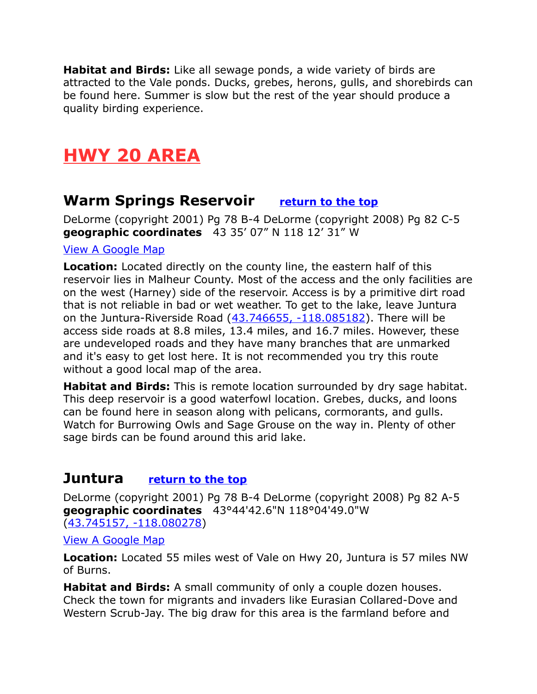**Habitat and Birds:** Like all sewage ponds, a wide variety of birds are attracted to the Vale ponds. Ducks, grebes, herons, gulls, and shorebirds can be found here. Summer is slow but the rest of the year should produce a quality birding experience.

# <span id="page-4-2"></span>**HWY 20 AREA**

### <span id="page-4-0"></span>**Warm Springs Reservoir [return to the top](#page-0-0)**

DeLorme (copyright 2001) Pg 78 B-4 DeLorme (copyright 2008) Pg 82 C-5 **geographic coordinates** 43 35' 07" N 118 12' 31" W

#### [View A Google Map](http://maps.google.com/maps/ms?hl=en&ie=UTF8&msa=0&msid=108036481085398338899.000470486e080f7296d12&ll=43.381098,-117.023621&spn=1.491147,4.084167&z=9)

**Location:** Located directly on the county line, the eastern half of this reservoir lies in Malheur County. Most of the access and the only facilities are on the west (Harney) side of the reservoir. Access is by a primitive dirt road that is not reliable in bad or wet weather. To get to the lake, leave Juntura on the Juntura-Riverside Road  $(43.746655, -118.085182)$ . There will be access side roads at 8.8 miles, 13.4 miles, and 16.7 miles. However, these are undeveloped roads and they have many branches that are unmarked and it's easy to get lost here. It is not recommended you try this route without a good local map of the area.

**Habitat and Birds:** This is remote location surrounded by dry sage habitat. This deep reservoir is a good waterfowl location. Grebes, ducks, and loons can be found here in season along with pelicans, cormorants, and gulls. Watch for Burrowing Owls and Sage Grouse on the way in. Plenty of other sage birds can be found around this arid lake.

### <span id="page-4-1"></span>**Juntura [return to the top](#page-0-0)**

DeLorme (copyright 2001) Pg 78 B-4 DeLorme (copyright 2008) Pg 82 A-5 **geographic coordinates** 43°44'42.6"N 118°04'49.0"W [\(43.745157, -118.080278\)](https://www.google.com/maps/place/43%C2%B044)

[View A Google Map](http://maps.google.com/maps/ms?hl=en&ie=UTF8&msa=0&msid=108036481085398338899.000470485ef542c5dfc4f&ll=43.916691,-118.074188&spn=0.849757,2.108002&z=10)

**Location:** Located 55 miles west of Vale on Hwy 20, Juntura is 57 miles NW of Burns.

**Habitat and Birds:** A small community of only a couple dozen houses. Check the town for migrants and invaders like Eurasian Collared-Dove and Western Scrub-Jay. The big draw for this area is the farmland before and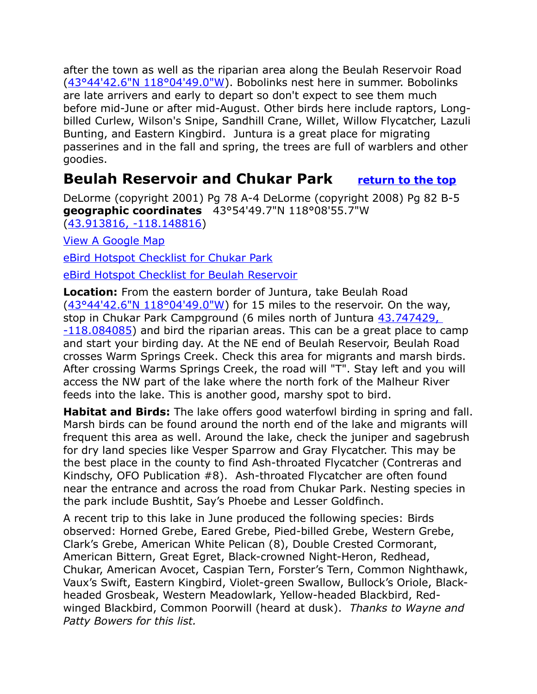after the town as well as the riparian area along the Beulah Reservoir Road [\(43°44'42.6"N 118°04'49.0"W\)](https://www.google.com/maps/place/43%C2%B044). Bobolinks nest here in summer. Bobolinks are late arrivers and early to depart so don't expect to see them much before mid-June or after mid-August. Other birds here include raptors, Longbilled Curlew, Wilson's Snipe, Sandhill Crane, Willet, Willow Flycatcher, Lazuli Bunting, and Eastern Kingbird. Juntura is a great place for migrating passerines and in the fall and spring, the trees are full of warblers and other goodies.

### <span id="page-5-0"></span>**Beulah Reservoir and Chukar Park [return to the top](#page-0-0)**

DeLorme (copyright 2001) Pg 78 A-4 DeLorme (copyright 2008) Pg 82 B-5 **geographic coordinates** 43°54'49.7"N 118°08'55.7"W [\(43.913816, -118.148816\)](https://www.google.com/maps/place/43%C2%B054)

[View A Google Map](http://maps.google.com/maps/ms?hl=en&ie=UTF8&msa=0&msid=108036481085398338899.000470485ef542c5dfc4f&ll=43.916691,-118.074188&spn=0.849757,2.108002&z=10)

[eBird Hotspot Checklist for Chukar Park](http://ebird.org/ebird/hotspot/L797693?yr=all&m=&rank=mrec)

[eBird Hotspot Checklist for Beulah Reservoir](http://ebird.org/ebird/hotspot/L797702?yr=all&m=&rank=mrec)

**Location:** From the eastern border of Juntura, take Beulah Road  $(43°44'42.6"$ N  $118°04'49.0"$  for 15 miles to the reservoir. On the way, stop in Chukar Park Campground (6 miles north of Juntura 43.747429, [-118.084085\)](https://www.google.com/maps/place/Chukar+Park,+Juntura,+OR+97911/@43.8033467,-118.1574474,847m/data=!3m2!1e3!4b1!4m13!1m7!3m6!1s0x0:0x0!2zNDPCsDQ0JzUwLjciTiAxMTjCsDA1JzAyLjciVw!3b1!8m2!3d43.747429!4d-118.084085!3m4!1s0x54b077085b3cd673:0x6f732ac5f555a0ea!8) and bird the riparian areas. This can be a great place to camp and start your birding day. At the NE end of Beulah Reservoir, Beulah Road crosses Warm Springs Creek. Check this area for migrants and marsh birds. After crossing Warms Springs Creek, the road will "T". Stay left and you will access the NW part of the lake where the north fork of the Malheur River feeds into the lake. This is another good, marshy spot to bird.

**Habitat and Birds:** The lake offers good waterfowl birding in spring and fall. Marsh birds can be found around the north end of the lake and migrants will frequent this area as well. Around the lake, check the juniper and sagebrush for dry land species like Vesper Sparrow and Gray Flycatcher. This may be the best place in the county to find Ash-throated Flycatcher (Contreras and Kindschy, OFO Publication #8). Ash-throated Flycatcher are often found near the entrance and across the road from Chukar Park. Nesting species in the park include Bushtit, Say's Phoebe and Lesser Goldfinch.

A recent trip to this lake in June produced the following species: Birds observed: Horned Grebe, Eared Grebe, Pied-billed Grebe, Western Grebe, Clark's Grebe, American White Pelican (8), Double Crested Cormorant, American Bittern, Great Egret, Black-crowned Night-Heron, Redhead, Chukar, American Avocet, Caspian Tern, Forster's Tern, Common Nighthawk, Vaux's Swift, Eastern Kingbird, Violet-green Swallow, Bullock's Oriole, Blackheaded Grosbeak, Western Meadowlark, Yellow-headed Blackbird, Redwinged Blackbird, Common Poorwill (heard at dusk). *Thanks to Wayne and Patty Bowers for this list.*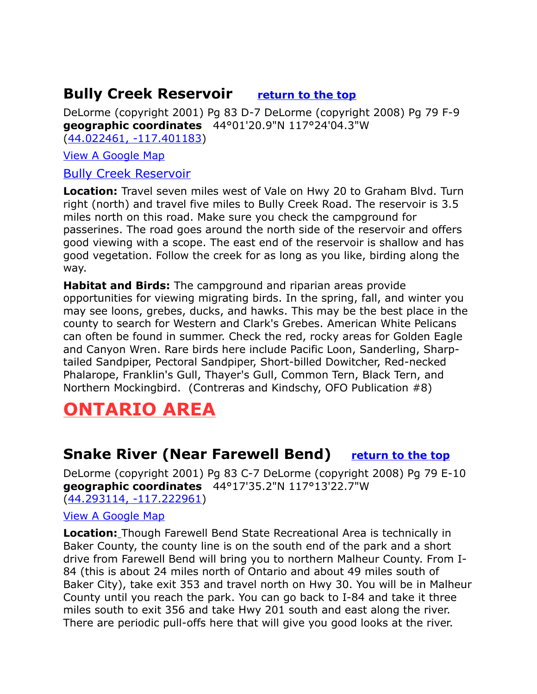### <span id="page-6-0"></span>**Bully Creek Reservoir <u>[return to the top](#page-0-0)</u>**

DeLorme (copyright 2001) Pg 83 D-7 DeLorme (copyright 2008) Pg 79 F-9 **geographic coordinates** 44°01'20.9"N 117°24'04.3"W [\(44.022461, -117.401183\)](https://www.google.com/maps/place/44%C2%B001)

[View A Google Map](http://maps.google.com/maps/ms?hl=en&ie=UTF8&msa=0&msid=108036481085398338899.0004704834639f76fe0eb&ll=44.026396,-117.000275&spn=0.848189,2.108002&z=10)

#### [Bully Creek Reservoir](http://traveloregon.com/see-do/natural-wonders/bodies-of-water/lakes-reservoirs/bully-creek-reservoir/)

**Location:** Travel seven miles west of Vale on Hwy 20 to Graham Blvd. Turn right (north) and travel five miles to Bully Creek Road. The reservoir is 3.5 miles north on this road. Make sure you check the campground for passerines. The road goes around the north side of the reservoir and offers good viewing with a scope. The east end of the reservoir is shallow and has good vegetation. Follow the creek for as long as you like, birding along the way.

**Habitat and Birds:** The campground and riparian areas provide opportunities for viewing migrating birds. In the spring, fall, and winter you may see loons, grebes, ducks, and hawks. This may be the best place in the county to search for Western and Clark's Grebes. American White Pelicans can often be found in summer. Check the red, rocky areas for Golden Eagle and Canyon Wren. Rare birds here include Pacific Loon, Sanderling, Sharptailed Sandpiper, Pectoral Sandpiper, Short-billed Dowitcher, Red-necked Phalarope, Franklin's Gull, Thayer's Gull, Common Tern, Black Tern, and Northern Mockingbird. (Contreras and Kindschy, OFO Publication #8)

# <span id="page-6-2"></span>**ONTARIO AREA**

### <span id="page-6-1"></span>**Snake River (Near Farewell Bend)** [return to the top](#page-0-0)

DeLorme (copyright 2001) Pg 83 C-7 DeLorme (copyright 2008) Pg 79 E-10 **geographic coordinates** 44°17'35.2"N 117°13'22.7"W [\(44.293114, -117.222961\)](https://www.google.com/maps/place/44%C2%B017)

#### [View A Google Map](http://maps.google.com/maps/ms?hl=en&ie=UTF8&msa=0&msid=108036481085398338899.0004741cd94fbb71418ab&ll=44.268805,-117.390976&spn=0.21118,0.527&z=10)

**Location:** Though Farewell Bend State Recreational Area is technically in Baker County, the county line is on the south end of the park and a short drive from Farewell Bend will bring you to northern Malheur County. From I-84 (this is about 24 miles north of Ontario and about 49 miles south of Baker City), take exit 353 and travel north on Hwy 30. You will be in Malheur County until you reach the park. You can go back to I-84 and take it three miles south to exit 356 and take Hwy 201 south and east along the river. There are periodic pull-offs here that will give you good looks at the river.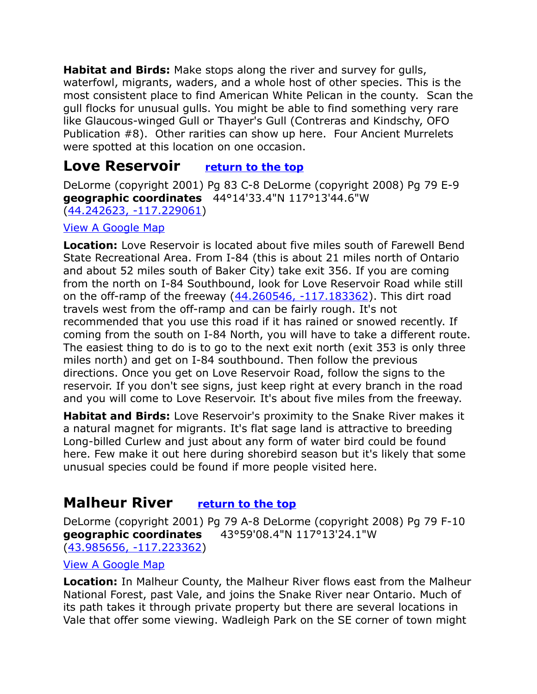**Habitat and Birds:** Make stops along the river and survey for gulls, waterfowl, migrants, waders, and a whole host of other species. This is the most consistent place to find American White Pelican in the county. Scan the gull flocks for unusual gulls. You might be able to find something very rare like Glaucous-winged Gull or Thayer's Gull (Contreras and Kindschy, OFO Publication #8). Other rarities can show up here. Four Ancient Murrelets were spotted at this location on one occasion.

### <span id="page-7-1"></span>**Love Reservoir [return to the top](#page-0-0)**

DeLorme (copyright 2001) Pg 83 C-8 DeLorme (copyright 2008) Pg 79 E-9 **geographic coordinates** 44°14'33.4"N 117°13'44.6"W [\(44.242623, -117.229061\)](https://www.google.com/maps/place/44%C2%B014)

#### [View A Google Map](http://maps.google.com/maps/ms?hl=en&ie=UTF8&msa=0&msid=108036481085398338899.0004741cd94fbb71418ab&ll=44.268805,-117.390976&spn=0.21118,0.527&z=10)

**Location:** Love Reservoir is located about five miles south of Farewell Bend State Recreational Area. From I-84 (this is about 21 miles north of Ontario and about 52 miles south of Baker City) take exit 356. If you are coming from the north on I-84 Southbound, look for Love Reservoir Road while still on the off-ramp of the freeway  $(44.260546, -117.183362)$ . This dirt road travels west from the off-ramp and can be fairly rough. It's not recommended that you use this road if it has rained or snowed recently. If coming from the south on I-84 North, you will have to take a different route. The easiest thing to do is to go to the next exit north (exit 353 is only three miles north) and get on I-84 southbound. Then follow the previous directions. Once you get on Love Reservoir Road, follow the signs to the reservoir. If you don't see signs, just keep right at every branch in the road and you will come to Love Reservoir. It's about five miles from the freeway.

**Habitat and Birds:** Love Reservoir's proximity to the Snake River makes it a natural magnet for migrants. It's flat sage land is attractive to breeding Long-billed Curlew and just about any form of water bird could be found here. Few make it out here during shorebird season but it's likely that some unusual species could be found if more people visited here.

### <span id="page-7-0"></span>**Malheur River [return to the top](#page-0-0)**

DeLorme (copyright 2001) Pg 79 A-8 DeLorme (copyright 2008) Pg 79 F-10 **geographic coordinates** 43°59'08.4"N 117°13'24.1"W [\(43.985656, -117.223362\)](https://www.google.com/maps/place/43%C2%B059)

#### [View A Google Map](http://maps.google.com/maps/ms?hl=en&ie=UTF8&msa=0&msid=108036481085398338899.0004704834639f76fe0eb&ll=44.026396,-117.000275&spn=0.848189,2.108002&z=10)

**Location:** In Malheur County, the Malheur River flows east from the Malheur National Forest, past Vale, and joins the Snake River near Ontario. Much of its path takes it through private property but there are several locations in Vale that offer some viewing. Wadleigh Park on the SE corner of town might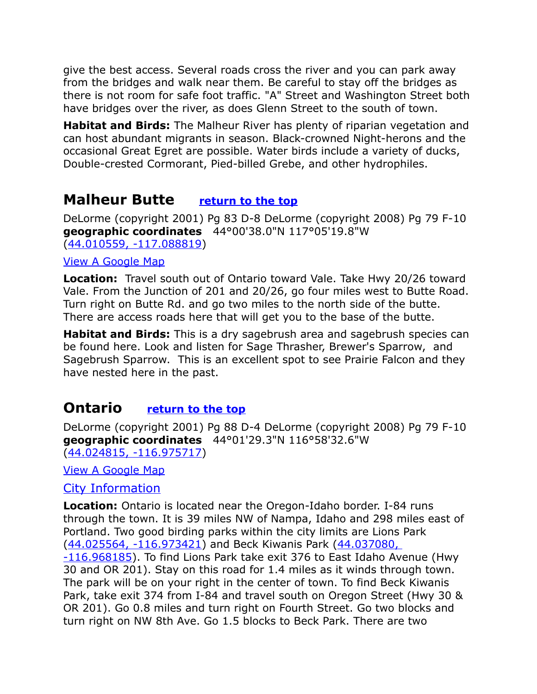give the best access. Several roads cross the river and you can park away from the bridges and walk near them. Be careful to stay off the bridges as there is not room for safe foot traffic. "A" Street and Washington Street both have bridges over the river, as does Glenn Street to the south of town.

**Habitat and Birds:** The Malheur River has plenty of riparian vegetation and can host abundant migrants in season. Black-crowned Night-herons and the occasional Great Egret are possible. Water birds include a variety of ducks, Double-crested Cormorant, Pied-billed Grebe, and other hydrophiles.

### <span id="page-8-1"></span>**Malheur Butte [return to the top](#page-0-0)**

DeLorme (copyright 2001) Pg 83 D-8 DeLorme (copyright 2008) Pg 79 F-10 **geographic coordinates** 44°00'38.0"N 117°05'19.8"W [\(44.010559, -117.088819\)](https://www.google.com/maps/place/44%C2%B000)

#### [View A Google Map](http://maps.google.com/maps/ms?hl=en&ie=UTF8&msa=0&msid=108036481085398338899.0004704834639f76fe0eb&ll=44.026396,-117.000275&spn=0.848189,2.108002&z=10)

**Location:** Travel south out of Ontario toward Vale. Take Hwy 20/26 toward Vale. From the Junction of 201 and 20/26, go four miles west to Butte Road. Turn right on Butte Rd. and go two miles to the north side of the butte. There are access roads here that will get you to the base of the butte.

**Habitat and Birds:** This is a dry sagebrush area and sagebrush species can be found here. Look and listen for Sage Thrasher, Brewer's Sparrow, and Sagebrush Sparrow. This is an excellent spot to see Prairie Falcon and they have nested here in the past.

### <span id="page-8-0"></span>**Ontario <u>[return to the top](#page-0-0)</u>**

DeLorme (copyright 2001) Pg 88 D-4 DeLorme (copyright 2008) Pg 79 F-10 **geographic coordinates** 44°01'29.3"N 116°58'32.6"W [\(44.024815, -116.975717\)](https://www.google.com/maps/place/44%C2%B001)

[View A Google Map](http://maps.google.com/maps/ms?hl=en&ie=UTF8&msa=0&msid=108036481085398338899.0004704834639f76fe0eb&ll=44.026396,-117.000275&spn=0.848189,2.108002&z=10)

#### [City Information](http://www.city-data.com/city/Ontario-Oregon.html)

**Location:** Ontario is located near the Oregon-Idaho border. I-84 runs through the town. It is 39 miles NW of Nampa, Idaho and 298 miles east of Portland. Two good birding parks within the city limits are Lions Park [\(44.025564, -116.973421\)](https://www.google.com/maps/place/44%C2%B001) and Beck Kiwanis Park (44.037080, [-116.968185\)](https://www.google.com/maps/place/44%C2%B002). To find Lions Park take exit 376 to East Idaho Avenue (Hwy 30 and OR 201). Stay on this road for 1.4 miles as it winds through town. The park will be on your right in the center of town. To find Beck Kiwanis Park, take exit 374 from I-84 and travel south on Oregon Street (Hwy 30 & OR 201). Go 0.8 miles and turn right on Fourth Street. Go two blocks and turn right on NW 8th Ave. Go 1.5 blocks to Beck Park. There are two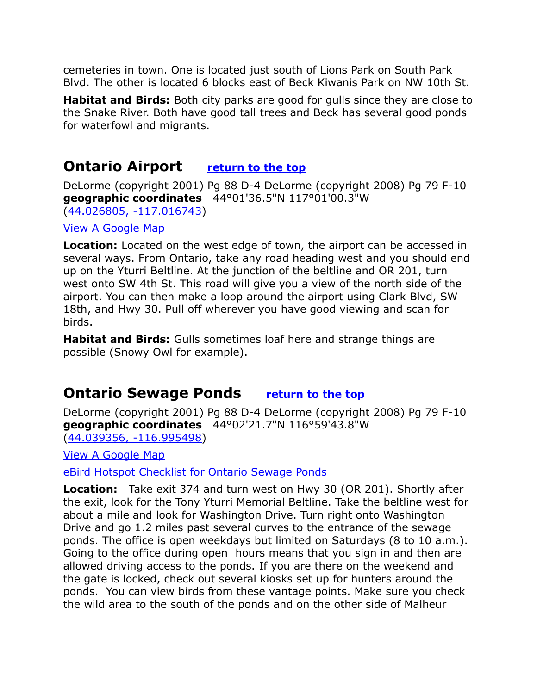cemeteries in town. One is located just south of Lions Park on South Park Blvd. The other is located 6 blocks east of Beck Kiwanis Park on NW 10th St.

**Habitat and Birds:** Both city parks are good for gulls since they are close to the Snake River. Both have good tall trees and Beck has several good ponds for waterfowl and migrants.

### <span id="page-9-1"></span>**Ontario Airport <u>[return to the top](#page-0-0)</u>**

DeLorme (copyright 2001) Pg 88 D-4 DeLorme (copyright 2008) Pg 79 F-10 **geographic coordinates** 44°01'36.5"N 117°01'00.3"W [\(44.026805, -117.016743\)](https://www.google.com/maps/place/44%C2%B001)

[View A Google Map](http://maps.google.com/maps/ms?hl=en&ie=UTF8&msa=0&msid=108036481085398338899.0004704834639f76fe0eb&ll=44.026396,-117.000275&spn=0.848189,2.108002&z=10)

**Location:** Located on the west edge of town, the airport can be accessed in several ways. From Ontario, take any road heading west and you should end up on the Yturri Beltline. At the junction of the beltline and OR 201, turn west onto SW 4th St. This road will give you a view of the north side of the airport. You can then make a loop around the airport using Clark Blvd, SW 18th, and Hwy 30. Pull off wherever you have good viewing and scan for birds.

**Habitat and Birds:** Gulls sometimes loaf here and strange things are possible (Snowy Owl for example).

### <span id="page-9-0"></span>**Ontario Sewage Ponds [return to the top](#page-0-0)**

DeLorme (copyright 2001) Pg 88 D-4 DeLorme (copyright 2008) Pg 79 F-10 **geographic coordinates** 44°02'21.7"N 116°59'43.8"W [\(44.039356, -116.995498\)](https://www.google.com/maps/place/44%C2%B002)

[View A Google Map](http://maps.google.com/maps/ms?hl=en&ie=UTF8&msa=0&msid=108036481085398338899.0004704834639f76fe0eb&ll=44.026396,-117.000275&spn=0.848189,2.108002&z=10)

[eBird Hotspot Checklist for Ontario Sewage Ponds](http://ebird.org/ebird/hotspot/L2884158?yr=all&m=&rank=mrec)

**Location:** Take exit 374 and turn west on Hwy 30 (OR 201). Shortly after the exit, look for the Tony Yturri Memorial Beltline. Take the beltline west for about a mile and look for Washington Drive. Turn right onto Washington Drive and go 1.2 miles past several curves to the entrance of the sewage ponds. The office is open weekdays but limited on Saturdays (8 to 10 a.m.). Going to the office during open hours means that you sign in and then are allowed driving access to the ponds. If you are there on the weekend and the gate is locked, check out several kiosks set up for hunters around the ponds. You can view birds from these vantage points. Make sure you check the wild area to the south of the ponds and on the other side of Malheur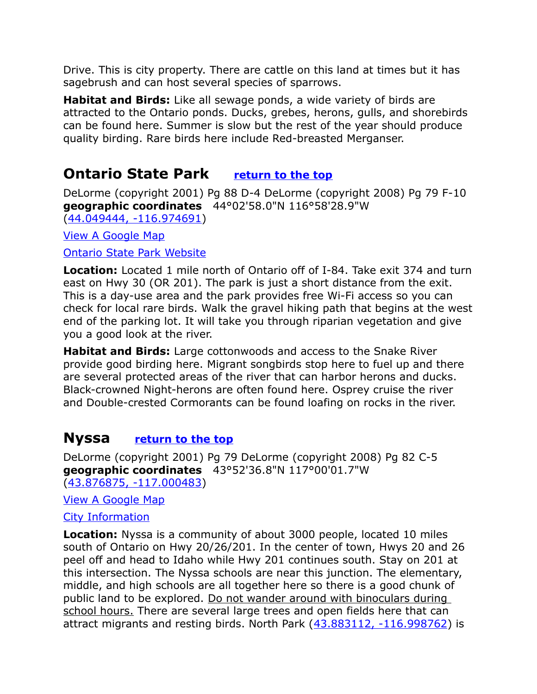Drive. This is city property. There are cattle on this land at times but it has sagebrush and can host several species of sparrows.

**Habitat and Birds:** Like all sewage ponds, a wide variety of birds are attracted to the Ontario ponds. Ducks, grebes, herons, gulls, and shorebirds can be found here. Summer is slow but the rest of the year should produce quality birding. Rare birds here include Red-breasted Merganser.

### <span id="page-10-0"></span>**Ontario State Park [return to the top](#page-0-0)**

DeLorme (copyright 2001) Pg 88 D-4 DeLorme (copyright 2008) Pg 79 F-10 **geographic coordinates** 44°02'58.0"N 116°58'28.9"W [\(44.049444, -116.974691\)](https://www.google.com/maps/place/44%C2%B002)

[View A Google Map](http://maps.google.com/maps/ms?hl=en&ie=UTF8&msa=0&msid=108036481085398338899.0004704834639f76fe0eb&ll=44.026396,-117.000275&spn=0.848189,2.108002&z=10)

#### [Ontario State Park Website](http://oregonstateparks.org/index.cfm?do=parkPage.dsp_parkPage&parkId=3)

**Location:** Located 1 mile north of Ontario off of I-84. Take exit 374 and turn east on Hwy 30 (OR 201). The park is just a short distance from the exit. This is a day-use area and the park provides free Wi-Fi access so you can check for local rare birds. Walk the gravel hiking path that begins at the west end of the parking lot. It will take you through riparian vegetation and give you a good look at the river.

**Habitat and Birds:** Large cottonwoods and access to the Snake River provide good birding here. Migrant songbirds stop here to fuel up and there are several protected areas of the river that can harbor herons and ducks. Black-crowned Night-herons are often found here. Osprey cruise the river and Double-crested Cormorants can be found loafing on rocks in the river.

### <span id="page-10-1"></span>**Nyssa [return to the top](#page-0-0)**

DeLorme (copyright 2001) Pg 79 DeLorme (copyright 2008) Pg 82 C-5 **geographic coordinates** 43°52'36.8"N 117°00'01.7"W [\(43.876875, -117.000483\)](https://www.google.com/maps/place/43%C2%B052)

[View A Google Map](http://maps.google.com/maps/ms?hl=en&ie=UTF8&msa=0&msid=108036481085398338899.0004704834639f76fe0eb&ll=44.026396,-117.000275&spn=0.848189,2.108002&z=10)

#### [City Information](http://smalltownoregon.com/16southeast/nyssa.html)

**Location:** Nyssa is a community of about 3000 people, located 10 miles south of Ontario on Hwy 20/26/201. In the center of town, Hwys 20 and 26 peel off and head to Idaho while Hwy 201 continues south. Stay on 201 at this intersection. The Nyssa schools are near this junction. The elementary, middle, and high schools are all together here so there is a good chunk of public land to be explored. Do not wander around with binoculars during school hours. There are several large trees and open fields here that can attract migrants and resting birds. North Park [\(43.883112, -116.998762\)](https://www.google.com/maps/place/43%C2%B052) is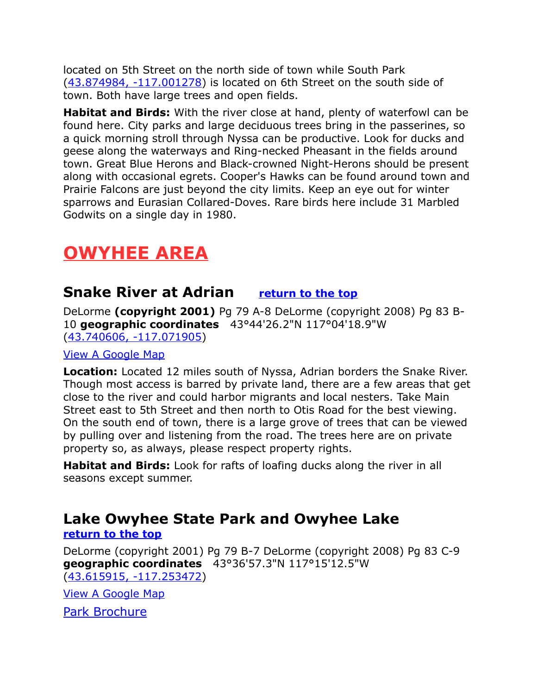located on 5th Street on the north side of town while South Park [\(43.874984, -117.001278\)](https://www.google.com/maps/place/43%C2%B052) is located on 6th Street on the south side of town. Both have large trees and open fields.

**Habitat and Birds:** With the river close at hand, plenty of waterfowl can be found here. City parks and large deciduous trees bring in the passerines, so a quick morning stroll through Nyssa can be productive. Look for ducks and geese along the waterways and Ring-necked Pheasant in the fields around town. Great Blue Herons and Black-crowned Night-Herons should be present along with occasional egrets. Cooper's Hawks can be found around town and Prairie Falcons are just beyond the city limits. Keep an eye out for winter sparrows and Eurasian Collared-Doves. Rare birds here include 31 Marbled Godwits on a single day in 1980.

# <span id="page-11-2"></span>**OWYHEE AREA**

### <span id="page-11-1"></span>**Snake River at Adrian [return to the top](#page-0-0)**

DeLorme **(copyright 2001)** Pg 79 A-8 DeLorme (copyright 2008) Pg 83 B-10 **geographic coordinates** 43°44'26.2"N 117°04'18.9"W [\(43.740606, -117.071905\)](https://www.google.com/maps/place/43%C2%B044)

#### [View A Google Map](http://maps.google.com/maps/ms?hl=en&ie=UTF8&msa=0&msid=108036481085398338899.00047048e2ea821443303&ll=43.612217,-116.194153&spn=1.708168,4.216003&z=9)

**Location:** Located 12 miles south of Nyssa, Adrian borders the Snake River. Though most access is barred by private land, there are a few areas that get close to the river and could harbor migrants and local nesters. Take Main Street east to 5th Street and then north to Otis Road for the best viewing. On the south end of town, there is a large grove of trees that can be viewed by pulling over and listening from the road. The trees here are on private property so, as always, please respect property rights.

**Habitat and Birds:** Look for rafts of loafing ducks along the river in all seasons except summer.

#### <span id="page-11-0"></span>**Lake Owyhee State Park and Owyhee Lake [return to the top](#page-0-0)**

DeLorme (copyright 2001) Pg 79 B-7 DeLorme (copyright 2008) Pg 83 C-9 **geographic coordinates** 43°36'57.3"N 117°15'12.5"W [\(43.615915, -117.253472\)](https://www.google.com/maps/place/43%C2%B036)

[View A Google Map](http://maps.google.com/maps/ms?hl=en&ie=UTF8&msa=0&msid=108036481085398338899.000470486e080f7296d12&ll=43.381098,-117.023621&spn=1.491147,4.084167&z=9)

[Park Brochure](http://oregonstateparks.org/index.cfm?do=main.loadFile&load=_siteFiles/publications/38160_lake_owyhee094350.pdf)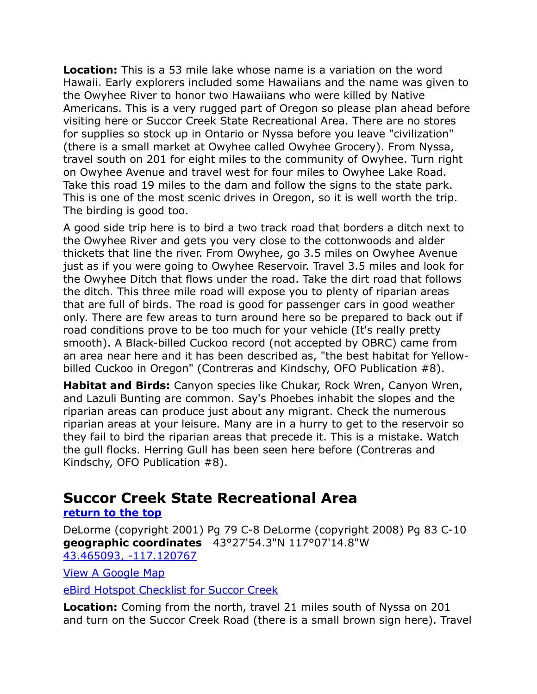**Location:** This is a 53 mile lake whose name is a variation on the word Hawaii. Early explorers included some Hawaiians and the name was given to the Owyhee River to honor two Hawaiians who were killed by Native Americans. This is a very rugged part of Oregon so please plan ahead before visiting here or Succor Creek State Recreational Area. There are no stores for supplies so stock up in Ontario or Nyssa before you leave "civilization" (there is a small market at Owyhee called Owyhee Grocery). From Nyssa, travel south on 201 for eight miles to the community of Owyhee. Turn right on Owyhee Avenue and travel west for four miles to Owyhee Lake Road. Take this road 19 miles to the dam and follow the signs to the state park. This is one of the most scenic drives in Oregon, so it is well worth the trip. The birding is good too.

A good side trip here is to bird a two track road that borders a ditch next to the Owyhee River and gets you very close to the cottonwoods and alder thickets that line the river. From Owyhee, go 3.5 miles on Owyhee Avenue just as if you were going to Owyhee Reservoir. Travel 3.5 miles and look for the Owyhee Ditch that flows under the road. Take the dirt road that follows the ditch. This three mile road will expose you to plenty of riparian areas that are full of birds. The road is good for passenger cars in good weather only. There are few areas to turn around here so be prepared to back out if road conditions prove to be too much for your vehicle (It's really pretty smooth). A Black-billed Cuckoo record (not accepted by OBRC) came from an area near here and it has been described as, "the best habitat for Yellowbilled Cuckoo in Oregon" (Contreras and Kindschy, OFO Publication #8).

**Habitat and Birds:** Canyon species like Chukar, Rock Wren, Canyon Wren, and Lazuli Bunting are common. Say's Phoebes inhabit the slopes and the riparian areas can produce just about any migrant. Check the numerous riparian areas at your leisure. Many are in a hurry to get to the reservoir so they fail to bird the riparian areas that precede it. This is a mistake. Watch the gull flocks. Herring Gull has been seen here before (Contreras and Kindschy, OFO Publication #8).

### <span id="page-12-0"></span>**Succor Creek State Recreational Area**

#### **[return to the top](#page-0-0)**

DeLorme (copyright 2001) Pg 79 C-8 DeLorme (copyright 2008) Pg 83 C-10 **geographic coordinates** 43°27'54.3"N 117°07'14.8"W [43.465093, -117.120767](https://www.google.com/maps/place/43%C2%B027)

[View A Google Map](http://maps.google.com/maps/ms?hl=en&ie=UTF8&msa=0&msid=108036481085398338899.000470486e080f7296d12&ll=43.381098,-117.023621&spn=1.491147,4.084167&z=9)

[eBird Hotspot Checklist for Succor Creek](http://ebird.org/ebird/hotspot/L855401?yr=all&m=&rank=mrec)

**Location:** Coming from the north, travel 21 miles south of Nyssa on 201 and turn on the Succor Creek Road (there is a small brown sign here). Travel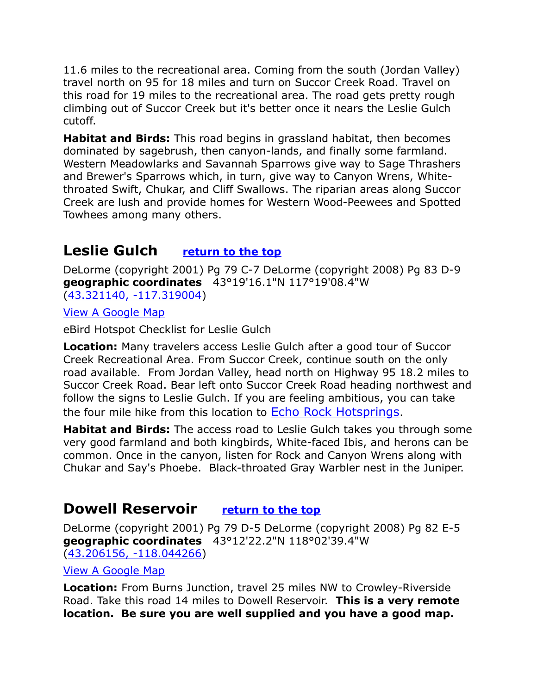11.6 miles to the recreational area. Coming from the south (Jordan Valley) travel north on 95 for 18 miles and turn on Succor Creek Road. Travel on this road for 19 miles to the recreational area. The road gets pretty rough climbing out of Succor Creek but it's better once it nears the Leslie Gulch cutoff.

**Habitat and Birds:** This road begins in grassland habitat, then becomes dominated by sagebrush, then canyon-lands, and finally some farmland. Western Meadowlarks and Savannah Sparrows give way to Sage Thrashers and Brewer's Sparrows which, in turn, give way to Canyon Wrens, Whitethroated Swift, Chukar, and Cliff Swallows. The riparian areas along Succor Creek are lush and provide homes for Western Wood-Peewees and Spotted Towhees among many others.

### <span id="page-13-1"></span>**Leslie Gulch [return to the top](#page-0-0)**

DeLorme (copyright 2001) Pg 79 C-7 DeLorme (copyright 2008) Pg 83 D-9 **geographic coordinates** 43°19'16.1"N 117°19'08.4"W [\(43.321140, -117.319004\)](https://www.google.com/maps/place/43%C2%B019)

[View A Google Map](http://maps.google.com/maps/ms?hl=en&ie=UTF8&msa=0&msid=108036481085398338899.000470486e080f7296d12&ll=43.381098,-117.023621&spn=1.491147,4.084167&z=9)

eBird Hotspot Checklist for Leslie Gulch

**Location:** Many travelers access Leslie Gulch after a good tour of Succor Creek Recreational Area. From Succor Creek, continue south on the only road available. From Jordan Valley, head north on Highway 95 18.2 miles to Succor Creek Road. Bear left onto Succor Creek Road heading northwest and follow the signs to Leslie Gulch. If you are feeling ambitious, you can take the four mile hike from this location to [Echo Rock Hotsprings](http://oregonhotsprings.immunenet.com/echorock.htm).

**Habitat and Birds:** The access road to Leslie Gulch takes you through some very good farmland and both kingbirds, White-faced Ibis, and herons can be common. Once in the canyon, listen for Rock and Canyon Wrens along with Chukar and Say's Phoebe. Black-throated Gray Warbler nest in the Juniper.

### <span id="page-13-0"></span>**Dowell Reservoir [return to the top](#page-0-0)**

DeLorme (copyright 2001) Pg 79 D-5 DeLorme (copyright 2008) Pg 82 E-5 **geographic coordinates** 43°12'22.2"N 118°02'39.4"W [\(43.206156, -118.044266\)](https://www.google.com/maps/place/43%C2%B012)

#### [View A Google Map](http://maps.google.com/maps/ms?hl=en&ie=UTF8&msa=0&msid=108036481085398338899.00047048bdaedb358ce3f&ll=43.157109,-117.759705&spn=1.721038,4.216003&z=9)

**Location:** From Burns Junction, travel 25 miles NW to Crowley-Riverside Road. Take this road 14 miles to Dowell Reservoir. **This is a very remote location. Be sure you are well supplied and you have a good map.**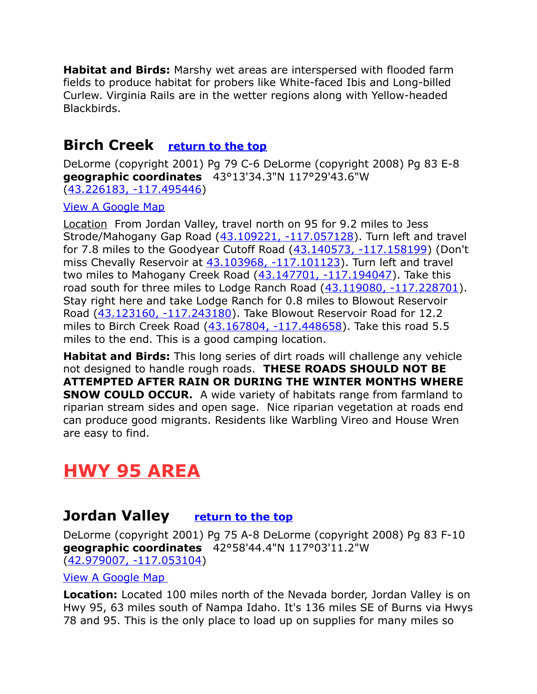**Habitat and Birds:** Marshy wet areas are interspersed with flooded farm fields to produce habitat for probers like White-faced Ibis and Long-billed Curlew. Virginia Rails are in the wetter regions along with Yellow-headed Blackbirds.

### <span id="page-14-2"></span>**Birch Creek [return to the top](#page-0-0)**

DeLorme (copyright 2001) Pg 79 C-6 DeLorme (copyright 2008) Pg 83 E-8 **geographic coordinates** 43°13'34.3"N 117°29'43.6"W [\(43.226183, -117.495446\)](https://www.google.com/maps/place/43%C2%B013)

[View A Google Map](http://maps.google.com/maps/ms?hl=en&ie=UTF8&msa=0&msid=108036481085398338899.00047048bdaedb358ce3f&ll=42.988576,-116.325989&spn=1.725777,4.216003&z=9)

Location From Jordan Valley, travel north on 95 for 9.2 miles to Jess Strode/Mahogany Gap Road [\(43.109221, -117.057128\)](https://www.google.com/maps/place/43%C2%B006). Turn left and travel for 7.8 miles to the Goodyear Cutoff Road [\(43.140573, -117.158199\)](https://www.google.com/maps/place/43%C2%B008) (Don't miss Chevally Reservoir at [43.103968, -117.101123\)](https://www.google.com/maps/place/43%C2%B006). Turn left and travel two miles to Mahogany Creek Road [\(43.147701, -117.194047\)](https://www.google.com/maps/place/43%C2%B008). Take this road south for three miles to Lodge Ranch Road [\(43.119080, -117.228701\)](https://www.google.com/maps/place/43%C2%B007). Stay right here and take Lodge Ranch for 0.8 miles to Blowout Reservoir Road [\(43.123160, -117.243180\)](https://www.google.com/maps/place/43%C2%B007). Take Blowout Reservoir Road for 12.2 miles to Birch Creek Road [\(43.167804, -117.448658\)](https://www.google.com/maps/place/43%C2%B010). Take this road 5.5 miles to the end. This is a good camping location.

**Habitat and Birds:** This long series of dirt roads will challenge any vehicle not designed to handle rough roads. **THESE ROADS SHOULD NOT BE ATTEMPTED AFTER RAIN OR DURING THE WINTER MONTHS WHERE SNOW COULD OCCUR.** A wide variety of habitats range from farmland to riparian stream sides and open sage. Nice riparian vegetation at roads end can produce good migrants. Residents like Warbling Vireo and House Wren are easy to find.

# <span id="page-14-1"></span>**HWY 95 AREA**

### <span id="page-14-0"></span>**Jordan Valley [return to the top](#page-0-0)**

DeLorme (copyright 2001) Pg 75 A-8 DeLorme (copyright 2008) Pg 83 F-10 **geographic coordinates** 42°58'44.4"N 117°03'11.2"W

[\(42.979007, -117.053104\)](https://www.google.com/maps/place/42%C2%B058)

[View A Google Map](http://maps.google.com/maps/ms?hl=en&ie=UTF8&msa=0&ll=42.261049,-115.405884&spn=3.036714,8.168335&z=8&msid=108036481085398338899.00047048c936768db85dc)

**Location:** Located 100 miles north of the Nevada border, Jordan Valley is on Hwy 95, 63 miles south of Nampa Idaho. It's 136 miles SE of Burns via Hwys 78 and 95. This is the only place to load up on supplies for many miles so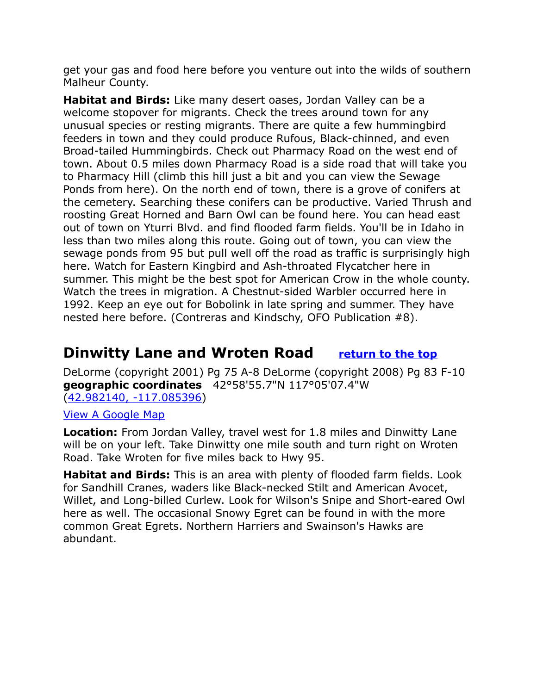get your gas and food here before you venture out into the wilds of southern Malheur County.

**Habitat and Birds:** Like many desert oases, Jordan Valley can be a welcome stopover for migrants. Check the trees around town for any unusual species or resting migrants. There are quite a few hummingbird feeders in town and they could produce Rufous, Black-chinned, and even Broad-tailed Hummingbirds. Check out Pharmacy Road on the west end of town. About 0.5 miles down Pharmacy Road is a side road that will take you to Pharmacy Hill (climb this hill just a bit and you can view the Sewage Ponds from here). On the north end of town, there is a grove of conifers at the cemetery. Searching these conifers can be productive. Varied Thrush and roosting Great Horned and Barn Owl can be found here. You can head east out of town on Yturri Blvd. and find flooded farm fields. You'll be in Idaho in less than two miles along this route. Going out of town, you can view the sewage ponds from 95 but pull well off the road as traffic is surprisingly high here. Watch for Eastern Kingbird and Ash-throated Flycatcher here in summer. This might be the best spot for American Crow in the whole county. Watch the trees in migration. A Chestnut-sided Warbler occurred here in 1992. Keep an eye out for Bobolink in late spring and summer. They have nested here before. (Contreras and Kindschy, OFO Publication #8).

### <span id="page-15-0"></span>**Dinwitty Lane and Wroten Road [return to the top](#page-0-0)**

DeLorme (copyright 2001) Pg 75 A-8 DeLorme (copyright 2008) Pg 83 F-10 **geographic coordinates** 42°58'55.7"N 117°05'07.4"W [\(42.982140, -117.085396\)](https://www.google.com/maps/place/42%C2%B058)

#### [View A Google Map](http://maps.google.com/maps/ms?hl=en&ie=UTF8&msa=0&msid=108036481085398338899.00047048c936768db85dc&z=9)

**Location:** From Jordan Valley, travel west for 1.8 miles and Dinwitty Lane will be on your left. Take Dinwitty one mile south and turn right on Wroten Road. Take Wroten for five miles back to Hwy 95.

**Habitat and Birds:** This is an area with plenty of flooded farm fields. Look for Sandhill Cranes, waders like Black-necked Stilt and American Avocet, Willet, and Long-billed Curlew. Look for Wilson's Snipe and Short-eared Owl here as well. The occasional Snowy Egret can be found in with the more common Great Egrets. Northern Harriers and Swainson's Hawks are abundant.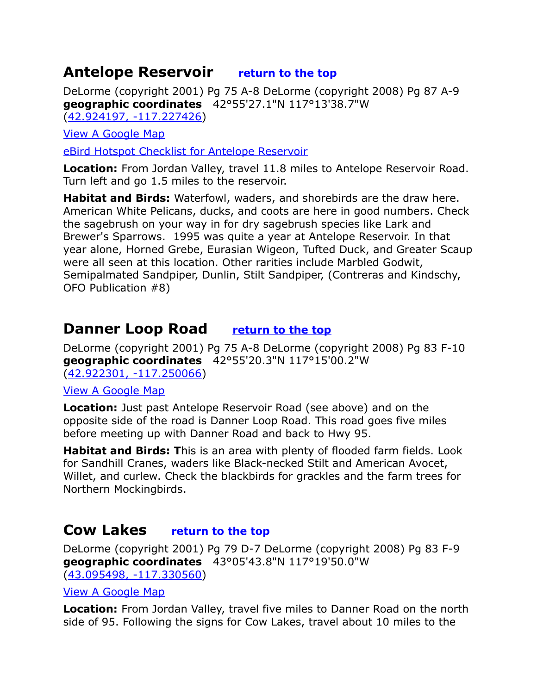### <span id="page-16-2"></span>**Antelope Reservoir [return to the top](#page-0-0)**

DeLorme (copyright 2001) Pg 75 A-8 DeLorme (copyright 2008) Pg 87 A-9 **geographic coordinates** 42°55'27.1"N 117°13'38.7"W [\(42.924197, -117.227426\)](https://www.google.com/maps/place/42%C2%B055)

[View A Google Map](http://maps.google.com/maps/ms?hl=en&ie=UTF8&msa=0&msid=108036481085398338899.00047048c936768db85dc&z=9)

[eBird Hotspot Checklist for Antelope Reservoir](http://ebird.org/ebird/hotspot/L2216585?yr=all&m=&rank=mrec)

**Location:** From Jordan Valley, travel 11.8 miles to Antelope Reservoir Road. Turn left and go 1.5 miles to the reservoir.

**Habitat and Birds:** Waterfowl, waders, and shorebirds are the draw here. American White Pelicans, ducks, and coots are here in good numbers. Check the sagebrush on your way in for dry sagebrush species like Lark and Brewer's Sparrows. 1995 was quite a year at Antelope Reservoir. In that year alone, Horned Grebe, Eurasian Wigeon, Tufted Duck, and Greater Scaup were all seen at this location. Other rarities include Marbled Godwit, Semipalmated Sandpiper, Dunlin, Stilt Sandpiper, (Contreras and Kindschy, OFO Publication #8)

### <span id="page-16-1"></span>**Danner Loop Road [return to the top](#page-0-0)**

DeLorme (copyright 2001) Pg 75 A-8 DeLorme (copyright 2008) Pg 83 F-10 **geographic coordinates** 42°55'20.3"N 117°15'00.2"W [\(42.922301, -117.250066\)](https://www.google.com/maps/place/42%C2%B055)

[View A Google Map](http://maps.google.com/maps/ms?hl=en&ie=UTF8&msa=0&msid=108036481085398338899.00047048c936768db85dc&z=9)

**Location:** Just past Antelope Reservoir Road (see above) and on the opposite side of the road is Danner Loop Road. This road goes five miles before meeting up with Danner Road and back to Hwy 95.

**Habitat and Birds: T**his is an area with plenty of flooded farm fields. Look for Sandhill Cranes, waders like Black-necked Stilt and American Avocet, Willet, and curlew. Check the blackbirds for grackles and the farm trees for Northern Mockingbirds.

### <span id="page-16-0"></span>**Cow Lakes [return to the top](#page-0-0)**

DeLorme (copyright 2001) Pg 79 D-7 DeLorme (copyright 2008) Pg 83 F-9 **geographic coordinates** 43°05'43.8"N 117°19'50.0"W [\(43.095498, -117.330560\)](https://www.google.com/maps/place/43%C2%B005)

#### [View A Google Map](http://maps.google.com/maps/ms?hl=en&ie=UTF8&msa=0&msid=108036481085398338899.00047048bdaedb358ce3f&ll=43.157109,-117.759705&spn=1.721038,4.216003&z=9)

**Location:** From Jordan Valley, travel five miles to Danner Road on the north side of 95. Following the signs for Cow Lakes, travel about 10 miles to the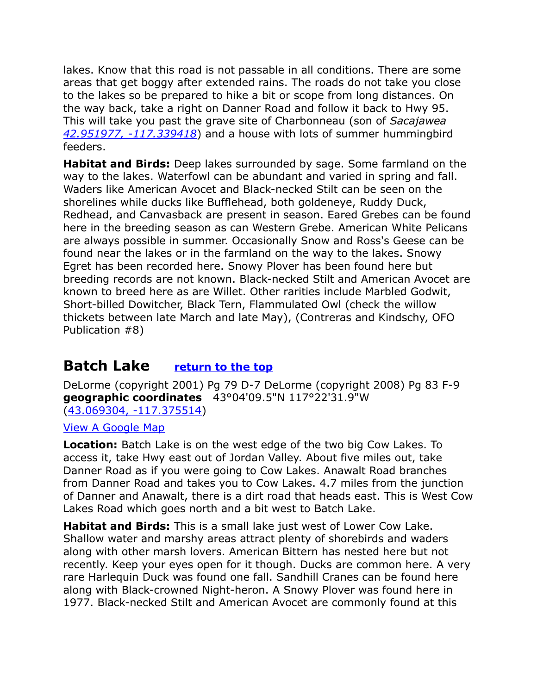lakes. Know that this road is not passable in all conditions. There are some areas that get boggy after extended rains. The roads do not take you close to the lakes so be prepared to hike a bit or scope from long distances. On the way back, take a right on Danner Road and follow it back to Hwy 95. This will take you past the grave site of Charbonneau (son of *Sacajawea [42.951977, -117.339418](https://www.google.com/maps/place/42%C2%B057)*) and a house with lots of summer hummingbird feeders.

**Habitat and Birds:** Deep lakes surrounded by sage. Some farmland on the way to the lakes. Waterfowl can be abundant and varied in spring and fall. Waders like American Avocet and Black-necked Stilt can be seen on the shorelines while ducks like Bufflehead, both goldeneye, Ruddy Duck, Redhead, and Canvasback are present in season. Eared Grebes can be found here in the breeding season as can Western Grebe. American White Pelicans are always possible in summer. Occasionally Snow and Ross's Geese can be found near the lakes or in the farmland on the way to the lakes. Snowy Egret has been recorded here. Snowy Plover has been found here but breeding records are not known. Black-necked Stilt and American Avocet are known to breed here as are Willet. Other rarities include Marbled Godwit, Short-billed Dowitcher, Black Tern, Flammulated Owl (check the willow thickets between late March and late May), (Contreras and Kindschy, OFO Publication #8)

### <span id="page-17-0"></span>**Batch Lake [return to the top](#page-0-0)**

DeLorme (copyright 2001) Pg 79 D-7 DeLorme (copyright 2008) Pg 83 F-9 **geographic coordinates** 43°04'09.5"N 117°22'31.9"W [\(43.069304, -117.375514\)](https://www.google.com/maps/place/43%C2%B004)

[View A Google Map](http://maps.google.com/maps/ms?hl=en&ie=UTF8&msa=0&msid=108036481085398338899.00047048bdaedb358ce3f&ll=43.157109,-117.759705&spn=1.721038,4.216003&z=9)

**Location:** Batch Lake is on the west edge of the two big Cow Lakes. To access it, take Hwy east out of Jordan Valley. About five miles out, take Danner Road as if you were going to Cow Lakes. Anawalt Road branches from Danner Road and takes you to Cow Lakes. 4.7 miles from the junction of Danner and Anawalt, there is a dirt road that heads east. This is West Cow Lakes Road which goes north and a bit west to Batch Lake.

**Habitat and Birds:** This is a small lake just west of Lower Cow Lake. Shallow water and marshy areas attract plenty of shorebirds and waders along with other marsh lovers. American Bittern has nested here but not recently. Keep your eyes open for it though. Ducks are common here. A very rare Harlequin Duck was found one fall. Sandhill Cranes can be found here along with Black-crowned Night-heron. A Snowy Plover was found here in 1977. Black-necked Stilt and American Avocet are commonly found at this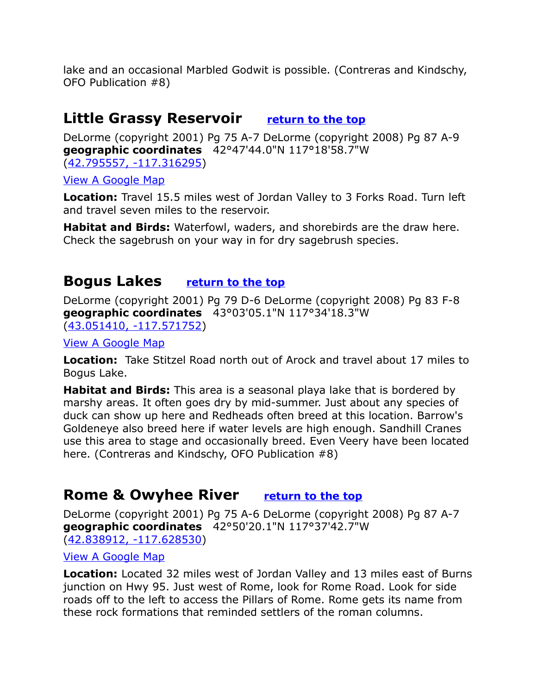lake and an occasional Marbled Godwit is possible. (Contreras and Kindschy, OFO Publication #8)

### <span id="page-18-2"></span>**Little Grassy Reservoir [return to the top](#page-0-0)**

DeLorme (copyright 2001) Pg 75 A-7 DeLorme (copyright 2008) Pg 87 A-9 **geographic coordinates** 42°47'44.0"N 117°18'58.7"W [\(42.795557, -117.316295\)](https://www.google.com/maps/place/42%C2%B047)

[View A Google Map](http://maps.google.com/maps/ms?hl=en&ie=UTF8&msa=0&msid=108036481085398338899.00047048c936768db85dc&z=9)

**Location:** Travel 15.5 miles west of Jordan Valley to 3 Forks Road. Turn left and travel seven miles to the reservoir.

**Habitat and Birds:** Waterfowl, waders, and shorebirds are the draw here. Check the sagebrush on your way in for dry sagebrush species.

### <span id="page-18-1"></span>**Bogus Lakes [return to the top](#page-0-0)**

DeLorme (copyright 2001) Pg 79 D-6 DeLorme (copyright 2008) Pg 83 F-8 **geographic coordinates** 43°03'05.1"N 117°34'18.3"W [\(43.051410, -117.571752\)](https://www.google.com/maps/place/43%C2%B003)

[View A Google Map](http://maps.google.com/maps/ms?hl=en&ie=UTF8&msa=0&msid=108036481085398338899.00047048bdaedb358ce3f&ll=43.157109,-117.759705&spn=1.721038,4.216003&z=9)

**Location:** Take Stitzel Road north out of Arock and travel about 17 miles to Bogus Lake.

**Habitat and Birds:** This area is a seasonal playa lake that is bordered by marshy areas. It often goes dry by mid-summer. Just about any species of duck can show up here and Redheads often breed at this location. Barrow's Goldeneye also breed here if water levels are high enough. Sandhill Cranes use this area to stage and occasionally breed. Even Veery have been located here. (Contreras and Kindschy, OFO Publication #8)

### <span id="page-18-0"></span>**Rome & Owyhee River [return to the top](#page-0-0)**

DeLorme (copyright 2001) Pg 75 A-6 DeLorme (copyright 2008) Pg 87 A-7 **geographic coordinates** 42°50'20.1"N 117°37'42.7"W [\(42.838912, -117.628530\)](https://www.google.com/maps/place/42%C2%B050)

#### [View A Google Map](http://maps.google.com/maps/ms?hl=en&ie=UTF8&msa=0&msid=108036481085398338899.00047048c936768db85dc&z=9)

**Location:** Located 32 miles west of Jordan Valley and 13 miles east of Burns junction on Hwy 95. Just west of Rome, look for Rome Road. Look for side roads off to the left to access the Pillars of Rome. Rome gets its name from these rock formations that reminded settlers of the roman columns.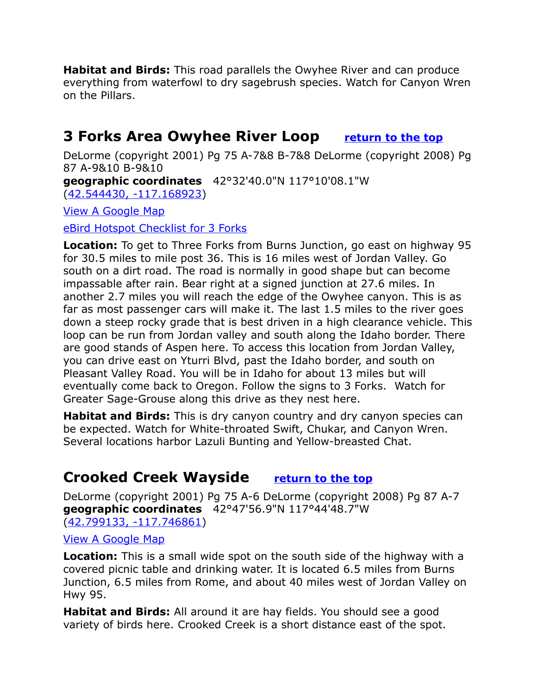**Habitat and Birds:** This road parallels the Owyhee River and can produce everything from waterfowl to dry sagebrush species. Watch for Canyon Wren on the Pillars.

### <span id="page-19-1"></span>**3 Forks Area Owyhee River Loop [return to the top](#page-0-0)**

DeLorme (copyright 2001) Pg 75 A-7&8 B-7&8 DeLorme (copyright 2008) Pg 87 A-9&10 B-9&10 **geographic coordinates** 42°32'40.0"N 117°10'08.1"W [\(42.544430, -117.168923\)](https://www.google.com/maps/place/42%C2%B032)

[View A Google Map](http://maps.google.com/maps/ms?hl=en&ie=UTF8&msa=0&msid=108036481085398338899.00047048c936768db85dc&z=9)

[eBird Hotspot Checklist for 3 Forks](http://ebird.org/ebird/hotspot/L570296?yr=all&m=&rank=mrec)

**Location:** To get to Three Forks from Burns Junction, go east on highway 95 for 30.5 miles to mile post 36. This is 16 miles west of Jordan Valley. Go south on a dirt road. The road is normally in good shape but can become impassable after rain. Bear right at a signed junction at 27.6 miles. In another 2.7 miles you will reach the edge of the Owyhee canyon. This is as far as most passenger cars will make it. The last 1.5 miles to the river goes down a steep rocky grade that is best driven in a high clearance vehicle. This loop can be run from Jordan valley and south along the Idaho border. There are good stands of Aspen here. To access this location from Jordan Valley, you can drive east on Yturri Blvd, past the Idaho border, and south on Pleasant Valley Road. You will be in Idaho for about 13 miles but will eventually come back to Oregon. Follow the signs to 3 Forks. Watch for Greater Sage-Grouse along this drive as they nest here.

**Habitat and Birds:** This is dry canyon country and dry canyon species can be expected. Watch for White-throated Swift, Chukar, and Canyon Wren. Several locations harbor Lazuli Bunting and Yellow-breasted Chat.

### <span id="page-19-0"></span>**Crooked Creek Wayside [return to the top](#page-0-0)**

DeLorme (copyright 2001) Pg 75 A-6 DeLorme (copyright 2008) Pg 87 A-7 **geographic coordinates** 42°47'56.9"N 117°44'48.7"W [\(42.799133, -117.746861\)](https://www.google.com/maps/place/42%C2%B047)

#### [View A Google Map](http://maps.google.com/maps/ms?hl=en&ie=UTF8&msa=0&msid=108036481085398338899.00047048c936768db85dc&z=9)

**Location:** This is a small wide spot on the south side of the highway with a covered picnic table and drinking water. It is located 6.5 miles from Burns Junction, 6.5 miles from Rome, and about 40 miles west of Jordan Valley on Hwy 95.

**Habitat and Birds:** All around it are hay fields. You should see a good variety of birds here. Crooked Creek is a short distance east of the spot.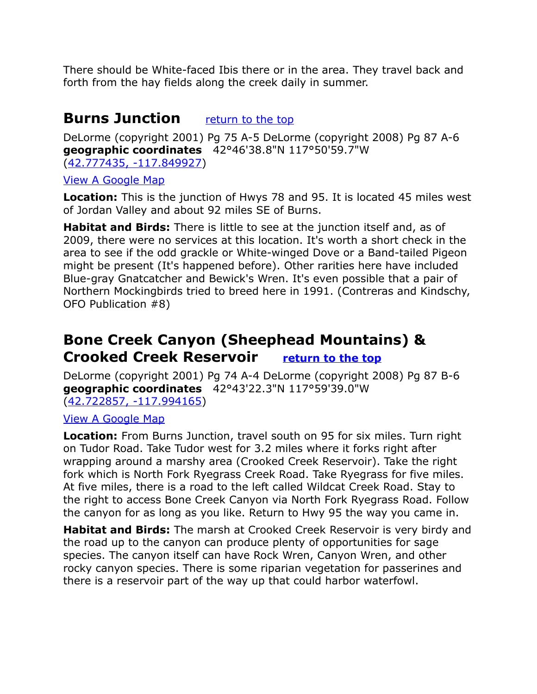There should be White-faced Ibis there or in the area. They travel back and forth from the hay fields along the creek daily in summer.

### <span id="page-20-1"></span>**Burns Junction** [return to the top](#page-0-0)

DeLorme (copyright 2001) Pg 75 A-5 DeLorme (copyright 2008) Pg 87 A-6 **geographic coordinates** 42°46'38.8"N 117°50'59.7"W [\(42.777435, -117.849927\)](https://www.google.com/maps/place/42%C2%B046)

#### [View A Google Map](http://maps.google.com/maps/ms?hl=en&ie=UTF8&msa=0&msid=108036481085398338899.00047048c936768db85dc&z=9)

**Location:** This is the junction of Hwys 78 and 95. It is located 45 miles west of Jordan Valley and about 92 miles SE of Burns.

**Habitat and Birds:** There is little to see at the junction itself and, as of 2009, there were no services at this location. It's worth a short check in the area to see if the odd grackle or White-winged Dove or a Band-tailed Pigeon might be present (It's happened before). Other rarities here have included Blue-gray Gnatcatcher and Bewick's Wren. It's even possible that a pair of Northern Mockingbirds tried to breed here in 1991. (Contreras and Kindschy, OFO Publication #8)

### <span id="page-20-0"></span>**Bone Creek Canyon (Sheephead Mountains) & Crooked Creek Reservoir [return to the top](#page-0-0)**

DeLorme (copyright 2001) Pg 74 A-4 DeLorme (copyright 2008) Pg 87 B-6 **geographic coordinates** 42°43'22.3"N 117°59'39.0"W [\(42.722857, -117.994165\)](https://www.google.com/maps/place/42%C2%B043)

#### [View A Google Map](http://maps.google.com/maps/ms?hl=en&ie=UTF8&msa=0&msid=108036481085398338899.00047048c936768db85dc&z=9)

**Location:** From Burns Junction, travel south on 95 for six miles. Turn right on Tudor Road. Take Tudor west for 3.2 miles where it forks right after wrapping around a marshy area (Crooked Creek Reservoir). Take the right fork which is North Fork Ryegrass Creek Road. Take Ryegrass for five miles. At five miles, there is a road to the left called Wildcat Creek Road. Stay to the right to access Bone Creek Canyon via North Fork Ryegrass Road. Follow the canyon for as long as you like. Return to Hwy 95 the way you came in.

**Habitat and Birds:** The marsh at Crooked Creek Reservoir is very birdy and the road up to the canyon can produce plenty of opportunities for sage species. The canyon itself can have Rock Wren, Canyon Wren, and other rocky canyon species. There is some riparian vegetation for passerines and there is a reservoir part of the way up that could harbor waterfowl.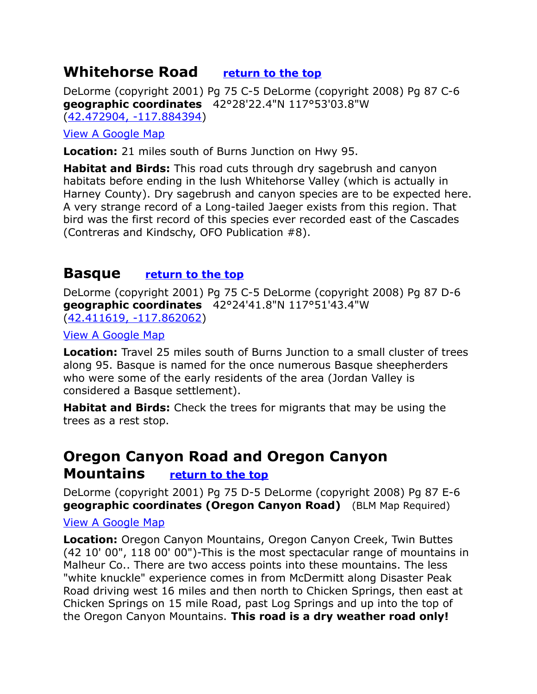### <span id="page-21-2"></span>**Whitehorse Road [return to the top](#page-0-0)**

DeLorme (copyright 2001) Pg 75 C-5 DeLorme (copyright 2008) Pg 87 C-6 **geographic coordinates** 42°28'22.4"N 117°53'03.8"W [\(42.472904, -117.884394\)](https://www.google.com/maps/place/42%C2%B028)

#### [View A Google Map](http://maps.google.com/maps/ms?hl=en&ie=UTF8&msa=0&msid=108036481085398338899.00047048c936768db85dc&z=9)

**Location:** 21 miles south of Burns Junction on Hwy 95.

**Habitat and Birds:** This road cuts through dry sagebrush and canyon habitats before ending in the lush Whitehorse Valley (which is actually in Harney County). Dry sagebrush and canyon species are to be expected here. A very strange record of a Long-tailed Jaeger exists from this region. That bird was the first record of this species ever recorded east of the Cascades (Contreras and Kindschy, OFO Publication #8).

### <span id="page-21-1"></span>**Basque [return to the top](#page-0-0)**

DeLorme (copyright 2001) Pg 75 C-5 DeLorme (copyright 2008) Pg 87 D-6 **geographic coordinates** 42°24'41.8"N 117°51'43.4"W [\(42.411619, -117.862062\)](https://www.google.com/maps/place/42%C2%B024)

[View A Google Map](http://maps.google.com/maps/ms?hl=en&ie=UTF8&msa=0&msid=108036481085398338899.00047048c936768db85dc&z=9)

**Location:** Travel 25 miles south of Burns Junction to a small cluster of trees along 95. Basque is named for the once numerous Basque sheepherders who were some of the early residents of the area (Jordan Valley is considered a Basque settlement).

**Habitat and Birds:** Check the trees for migrants that may be using the trees as a rest stop.

### <span id="page-21-0"></span>**Oregon Canyon Road and Oregon Canyon Mountains [return to the top](#page-0-0)**

DeLorme (copyright 2001) Pg 75 D-5 DeLorme (copyright 2008) Pg 87 E-6 **geographic coordinates (Oregon Canyon Road)** (BLM Map Required)

#### [View A Google Map](http://maps.google.com/maps/ms?hl=en&ie=UTF8&msa=0&msid=108036481085398338899.00047048c936768db85dc&z=9)

**Location:** Oregon Canyon Mountains, Oregon Canyon Creek, Twin Buttes (42 10' 00", 118 00' 00")-This is the most spectacular range of mountains in Malheur Co.. There are two access points into these mountains. The less "white knuckle" experience comes in from McDermitt along Disaster Peak Road driving west 16 miles and then north to Chicken Springs, then east at Chicken Springs on 15 mile Road, past Log Springs and up into the top of the Oregon Canyon Mountains. **This road is a dry weather road only!**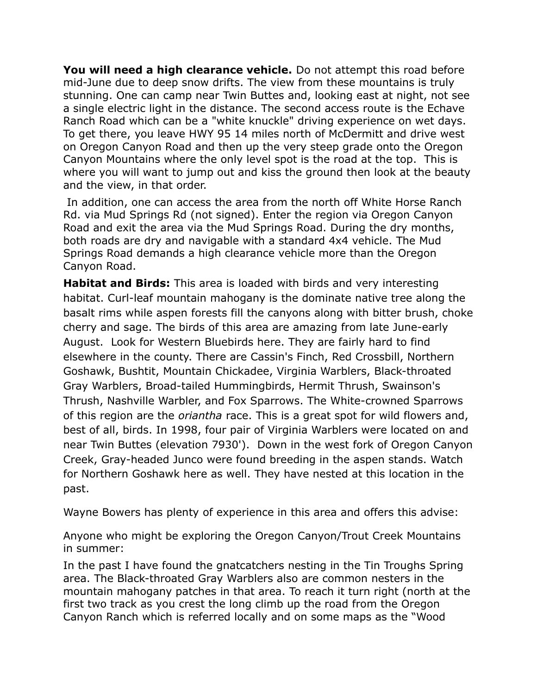**You will need a high clearance vehicle.** Do not attempt this road before mid-June due to deep snow drifts. The view from these mountains is truly stunning. One can camp near Twin Buttes and, looking east at night, not see a single electric light in the distance. The second access route is the Echave Ranch Road which can be a "white knuckle" driving experience on wet days. To get there, you leave HWY 95 14 miles north of McDermitt and drive west on Oregon Canyon Road and then up the very steep grade onto the Oregon Canyon Mountains where the only level spot is the road at the top. This is where you will want to jump out and kiss the ground then look at the beauty and the view, in that order.

 In addition, one can access the area from the north off White Horse Ranch Rd. via Mud Springs Rd (not signed). Enter the region via Oregon Canyon Road and exit the area via the Mud Springs Road. During the dry months, both roads are dry and navigable with a standard 4x4 vehicle. The Mud Springs Road demands a high clearance vehicle more than the Oregon Canyon Road.

**Habitat and Birds:** This area is loaded with birds and very interesting habitat. Curl-leaf mountain mahogany is the dominate native tree along the basalt rims while aspen forests fill the canyons along with bitter brush, choke cherry and sage. The birds of this area are amazing from late June-early August. Look for Western Bluebirds here. They are fairly hard to find elsewhere in the county. There are Cassin's Finch, Red Crossbill, Northern Goshawk, Bushtit, Mountain Chickadee, Virginia Warblers, Black-throated Gray Warblers, Broad-tailed Hummingbirds, Hermit Thrush, Swainson's Thrush, Nashville Warbler, and Fox Sparrows. The White-crowned Sparrows of this region are the *oriantha* race. This is a great spot for wild flowers and, best of all, birds. In 1998, four pair of Virginia Warblers were located on and near Twin Buttes (elevation 7930'). Down in the west fork of Oregon Canyon Creek, Gray-headed Junco were found breeding in the aspen stands. Watch for Northern Goshawk here as well. They have nested at this location in the past.

Wayne Bowers has plenty of experience in this area and offers this advise:

Anyone who might be exploring the Oregon Canyon/Trout Creek Mountains in summer:

In the past I have found the gnatcatchers nesting in the Tin Troughs Spring area. The Black-throated Gray Warblers also are common nesters in the mountain mahogany patches in that area. To reach it turn right (north at the first two track as you crest the long climb up the road from the Oregon Canyon Ranch which is referred locally and on some maps as the "Wood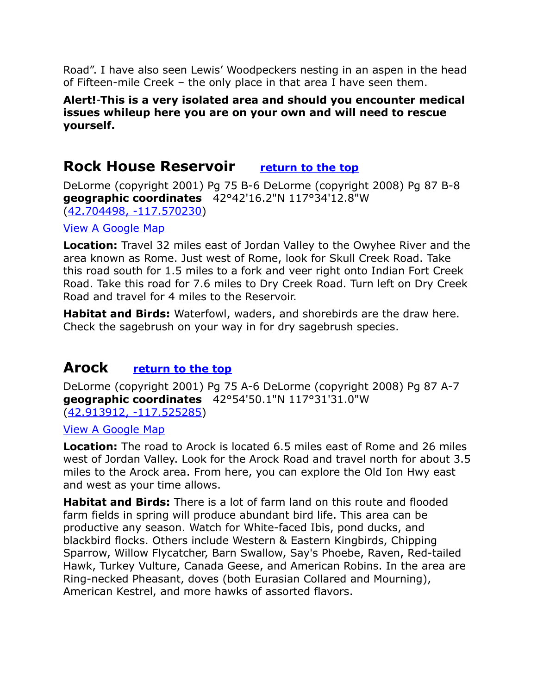Road". I have also seen Lewis' Woodpeckers nesting in an aspen in the head of Fifteen-mile Creek – the only place in that area I have seen them.

#### **Alert!**-**This is a very isolated area and should you encounter medical issues whileup here you are on your own and will need to rescue yourself.**

### <span id="page-23-1"></span>**Rock House Reservoir [return to the top](#page-0-0)**

DeLorme (copyright 2001) Pg 75 B-6 DeLorme (copyright 2008) Pg 87 B-8 **geographic coordinates** 42°42'16.2"N 117°34'12.8"W [\(42.704498, -117.570230\)](https://www.google.com/maps/place/42%C2%B042)

[View A Google Map](http://maps.google.com/maps/ms?hl=en&ie=UTF8&msa=0&msid=108036481085398338899.00047048c936768db85dc&z=9)

**Location:** Travel 32 miles east of Jordan Valley to the Owyhee River and the area known as Rome. Just west of Rome, look for Skull Creek Road. Take this road south for 1.5 miles to a fork and veer right onto Indian Fort Creek Road. Take this road for 7.6 miles to Dry Creek Road. Turn left on Dry Creek Road and travel for 4 miles to the Reservoir.

**Habitat and Birds:** Waterfowl, waders, and shorebirds are the draw here. Check the sagebrush on your way in for dry sagebrush species.

### <span id="page-23-0"></span>**Arock [return to the top](#page-0-0)**

DeLorme (copyright 2001) Pg 75 A-6 DeLorme (copyright 2008) Pg 87 A-7 **geographic coordinates** 42°54'50.1"N 117°31'31.0"W [\(42.913912, -117.525285\)](https://www.google.com/maps/place/42%C2%B054)

[View A Google Map](http://maps.google.com/maps/ms?hl=en&ie=UTF8&msa=0&msid=108036481085398338899.00047048c936768db85dc&z=9)

**Location:** The road to Arock is located 6.5 miles east of Rome and 26 miles west of Jordan Valley. Look for the Arock Road and travel north for about 3.5 miles to the Arock area. From here, you can explore the Old Ion Hwy east and west as your time allows.

**Habitat and Birds:** There is a lot of farm land on this route and flooded farm fields in spring will produce abundant bird life. This area can be productive any season. Watch for White-faced Ibis, pond ducks, and blackbird flocks. Others include Western & Eastern Kingbirds, Chipping Sparrow, Willow Flycatcher, Barn Swallow, Say's Phoebe, Raven, Red-tailed Hawk, Turkey Vulture, Canada Geese, and American Robins. In the area are Ring-necked Pheasant, doves (both Eurasian Collared and Mourning), American Kestrel, and more hawks of assorted flavors.